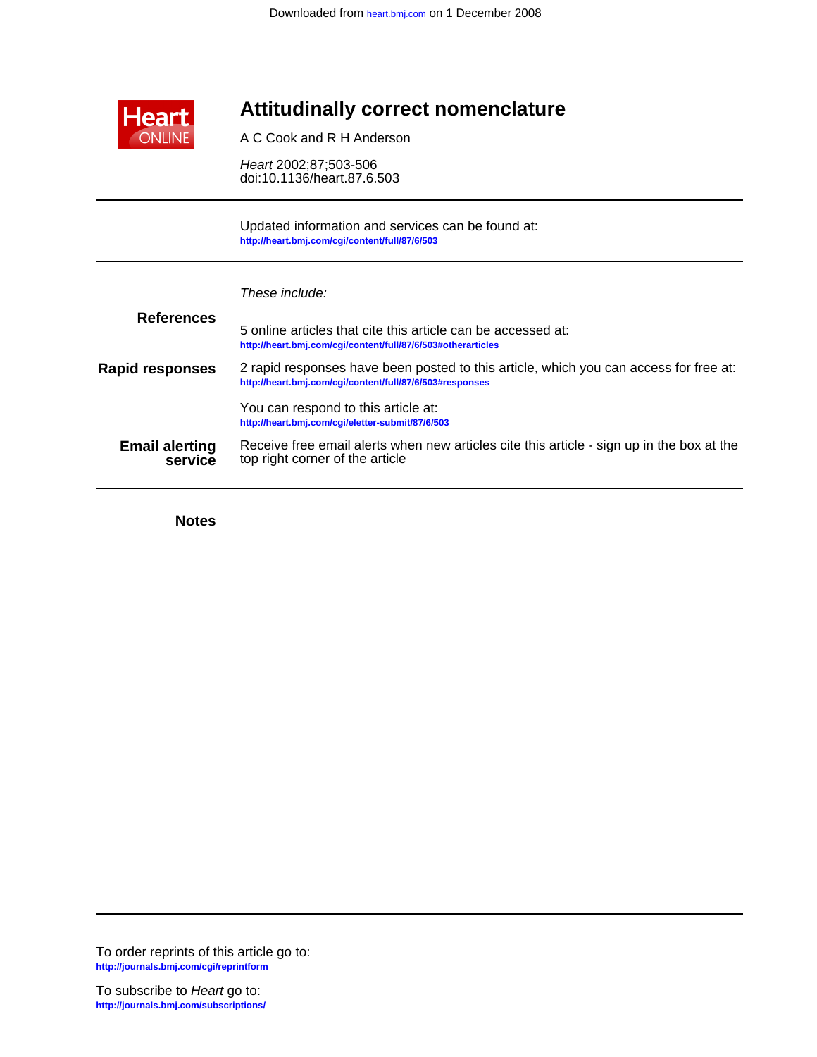

# **Attitudinally correct nomenclature**

A C Cook and R H Anderson

doi:10.1136/heart.87.6.503 Heart 2002;87;503-506

**<http://heart.bmj.com/cgi/content/full/87/6/503>** Updated information and services can be found at:

| These include: |  |
|----------------|--|
|                |  |

| <b>References</b>                | 5 online articles that cite this article can be accessed at:<br>http://heart.bmj.com/cqi/content/full/87/6/503#otherarticles                      |
|----------------------------------|---------------------------------------------------------------------------------------------------------------------------------------------------|
| <b>Rapid responses</b>           | 2 rapid responses have been posted to this article, which you can access for free at:<br>http://heart.bmj.com/cgi/content/full/87/6/503#responses |
|                                  | You can respond to this article at:<br>http://heart.bmj.com/cgi/eletter-submit/87/6/503                                                           |
| <b>Email alerting</b><br>service | Receive free email alerts when new articles cite this article - sign up in the box at the<br>top right corner of the article                      |

**Notes**

**<http://journals.bmj.com/cgi/reprintform>** To order reprints of this article go to:

**<http://journals.bmj.com/subscriptions/>** To subscribe to Heart go to: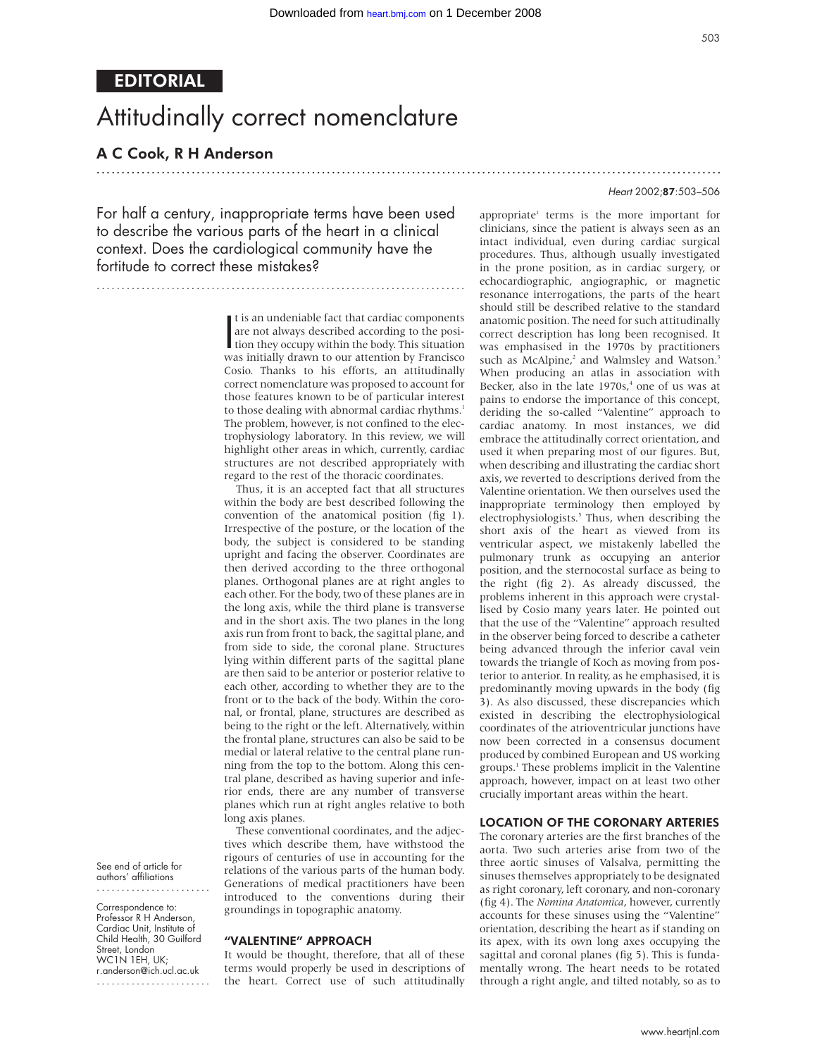.............................................................................................................................

# EDITORIAL

# Attitudinally correct nomenclature

# A C Cook, R H Anderson

## Heart 2002;87:503–506

For half a century, inappropriate terms have been used to describe the various parts of the heart in a clinical context. Does the cardiological community have the fortitude to correct these mistakes?

..........................................................................

It is an undeniable fact that cardiac components<br>are not always described according to the posi-<br>tion they occupy within the body. This situation<br>was initially drawn to our attention by Francisco t is an undeniable fact that cardiac components are not always described according to the posiwas initially drawn to our attention by Francisco Cosio. Thanks to his efforts, an attitudinally correct nomenclature was proposed to account for those features known to be of particular interest to those dealing with abnormal cardiac rhythms.<sup>1</sup> The problem, however, is not confined to the electrophysiology laboratory. In this review, we will highlight other areas in which, currently, cardiac structures are not described appropriately with regard to the rest of the thoracic coordinates.

Thus, it is an accepted fact that all structures within the body are best described following the convention of the anatomical position (fig 1). Irrespective of the posture, or the location of the body, the subject is considered to be standing upright and facing the observer. Coordinates are then derived according to the three orthogonal planes. Orthogonal planes are at right angles to each other. For the body, two of these planes are in the long axis, while the third plane is transverse and in the short axis. The two planes in the long axis run from front to back, the sagittal plane, and from side to side, the coronal plane. Structures lying within different parts of the sagittal plane are then said to be anterior or posterior relative to each other, according to whether they are to the front or to the back of the body. Within the coronal, or frontal, plane, structures are described as being to the right or the left. Alternatively, within the frontal plane, structures can also be said to be medial or lateral relative to the central plane running from the top to the bottom. Along this central plane, described as having superior and inferior ends, there are any number of transverse planes which run at right angles relative to both long axis planes.

These conventional coordinates, and the adjectives which describe them, have withstood the rigours of centuries of use in accounting for the relations of the various parts of the human body. Generations of medical practitioners have been introduced to the conventions during their groundings in topographic anatomy.

### "VALENTINE" APPROACH

It would be thought, therefore, that all of these terms would properly be used in descriptions of the heart. Correct use of such attitudinally

appropriate<sup>1</sup> terms is the more important for clinicians, since the patient is always seen as an intact individual, even during cardiac surgical procedures. Thus, although usually investigated in the prone position, as in cardiac surgery, or echocardiographic, angiographic, or magnetic resonance interrogations, the parts of the heart should still be described relative to the standard anatomic position. The need for such attitudinally correct description has long been recognised. It was emphasised in the 1970s by practitioners such as McAlpine,<sup>2</sup> and Walmsley and Watson.<sup>3</sup> When producing an atlas in association with Becker, also in the late 1970s,<sup>4</sup> one of us was at pains to endorse the importance of this concept, deriding the so-called "Valentine" approach to cardiac anatomy. In most instances, we did embrace the attitudinally correct orientation, and used it when preparing most of our figures. But, when describing and illustrating the cardiac short axis, we reverted to descriptions derived from the Valentine orientation. We then ourselves used the inappropriate terminology then employed by electrophysiologists.<sup>5</sup> Thus, when describing the short axis of the heart as viewed from its ventricular aspect, we mistakenly labelled the pulmonary trunk as occupying an anterior position, and the sternocostal surface as being to the right (fig 2). As already discussed, the problems inherent in this approach were crystallised by Cosio many years later. He pointed out that the use of the "Valentine" approach resulted in the observer being forced to describe a catheter being advanced through the inferior caval vein towards the triangle of Koch as moving from posterior to anterior. In reality, as he emphasised, it is predominantly moving upwards in the body (fig 3). As also discussed, these discrepancies which existed in describing the electrophysiological coordinates of the atrioventricular junctions have now been corrected in a consensus document produced by combined European and US working groups.1 These problems implicit in the Valentine approach, however, impact on at least two other crucially important areas within the heart.

### LOCATION OF THE CORONARY ARTERIES

The coronary arteries are the first branches of the aorta. Two such arteries arise from two of the three aortic sinuses of Valsalva, permitting the sinuses themselves appropriately to be designated as right coronary, left coronary, and non-coronary (fig 4). The *Nomina Anatomica*, however, currently accounts for these sinuses using the "Valentine" orientation, describing the heart as if standing on its apex, with its own long axes occupying the sagittal and coronal planes (fig 5). This is fundamentally wrong. The heart needs to be rotated through a right angle, and tilted notably, so as to

See end of article for authors' affiliations .......................

Correspondence to: Professor R H Anderson, Cardiac Unit, Institute of Child Health, 30 Guilford Street, London WC1N 1EH, UK; r.anderson@ich.ucl.ac.uk .......................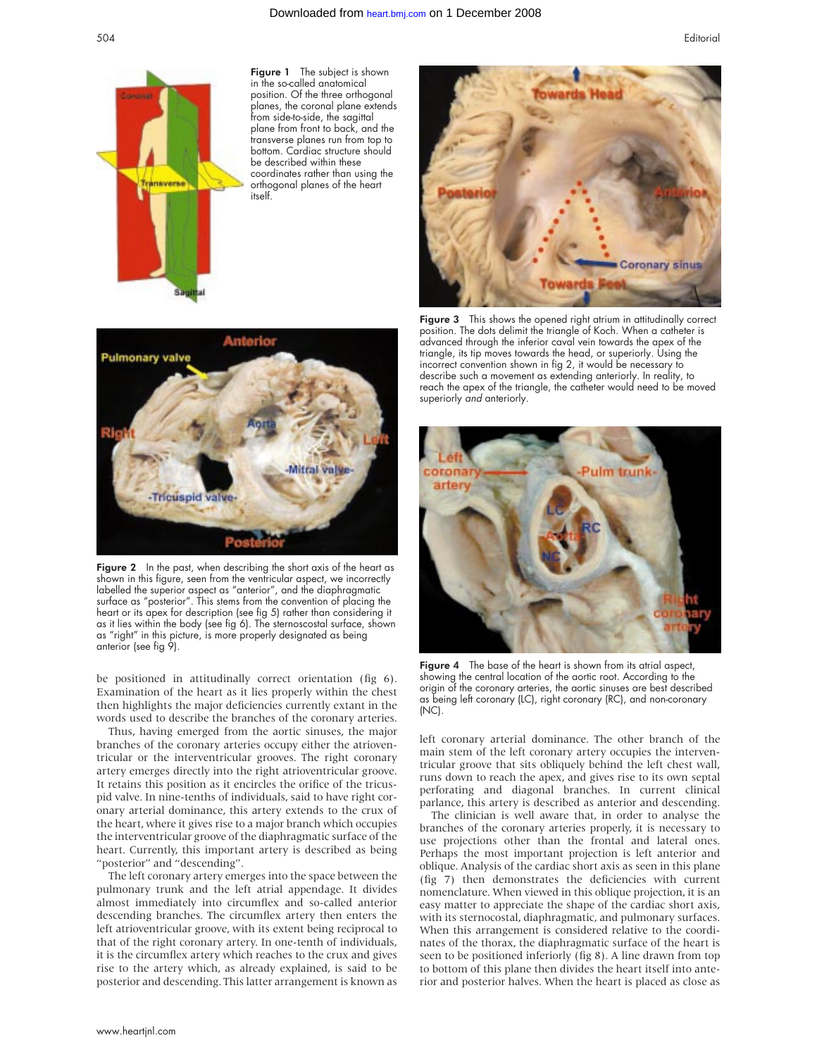

Figure 1 The subject is shown in the so-called anatomical position. Of the three orthogonal planes, the coronal plane extends from side-to-side, the sagittal plane from front to back, and the transverse planes run from top to bottom. Cardiac structure should be described within these coordinates rather than using the orthogonal planes of the heart itself.



Figure 2 In the past, when describing the short axis of the heart as shown in this figure, seen from the ventricular aspect, we incorrectly labelled the superior aspect as "anterior", and the diaphragmatic surface as "posterior". This stems from the convention of placing the heart or its apex for description (see fig 5) rather than considering it as it lies within the body (see fig 6). The sternoscostal surface, shown as "right" in this picture, is more properly designated as being anterior (see fig 9).

be positioned in attitudinally correct orientation (fig 6). Examination of the heart as it lies properly within the chest then highlights the major deficiencies currently extant in the words used to describe the branches of the coronary arteries.

Thus, having emerged from the aortic sinuses, the major branches of the coronary arteries occupy either the atrioventricular or the interventricular grooves. The right coronary artery emerges directly into the right atrioventricular groove. It retains this position as it encircles the orifice of the tricuspid valve. In nine-tenths of individuals, said to have right coronary arterial dominance, this artery extends to the crux of the heart, where it gives rise to a major branch which occupies the interventricular groove of the diaphragmatic surface of the heart. Currently, this important artery is described as being "posterior" and "descending".

The left coronary artery emerges into the space between the pulmonary trunk and the left atrial appendage. It divides almost immediately into circumflex and so-called anterior descending branches. The circumflex artery then enters the left atrioventricular groove, with its extent being reciprocal to that of the right coronary artery. In one-tenth of individuals, it is the circumflex artery which reaches to the crux and gives rise to the artery which, as already explained, is said to be posterior and descending. This latter arrangement is known as



Figure 3 This shows the opened right atrium in attitudinally correct position. The dots delimit the triangle of Koch. When a catheter is advanced through the inferior caval vein towards the apex of the triangle, its tip moves towards the head, or superiorly. Using the incorrect convention shown in fig 2, it would be necessary to describe such a movement as extending anteriorly. In reality, to reach the apex of the triangle, the catheter would need to be moved superiorly and anteriorly.



Figure 4 The base of the heart is shown from its atrial aspect, showing the central location of the aortic root. According to the origin of the coronary arteries, the aortic sinuses are best described as being left coronary (LC), right coronary (RC), and non-coronary (NC).

left coronary arterial dominance. The other branch of the main stem of the left coronary artery occupies the interventricular groove that sits obliquely behind the left chest wall, runs down to reach the apex, and gives rise to its own septal perforating and diagonal branches. In current clinical parlance, this artery is described as anterior and descending.

The clinician is well aware that, in order to analyse the branches of the coronary arteries properly, it is necessary to use projections other than the frontal and lateral ones. Perhaps the most important projection is left anterior and oblique. Analysis of the cardiac short axis as seen in this plane (fig 7) then demonstrates the deficiencies with current nomenclature. When viewed in this oblique projection, it is an easy matter to appreciate the shape of the cardiac short axis, with its sternocostal, diaphragmatic, and pulmonary surfaces. When this arrangement is considered relative to the coordinates of the thorax, the diaphragmatic surface of the heart is seen to be positioned inferiorly (fig 8). A line drawn from top to bottom of this plane then divides the heart itself into anterior and posterior halves. When the heart is placed as close as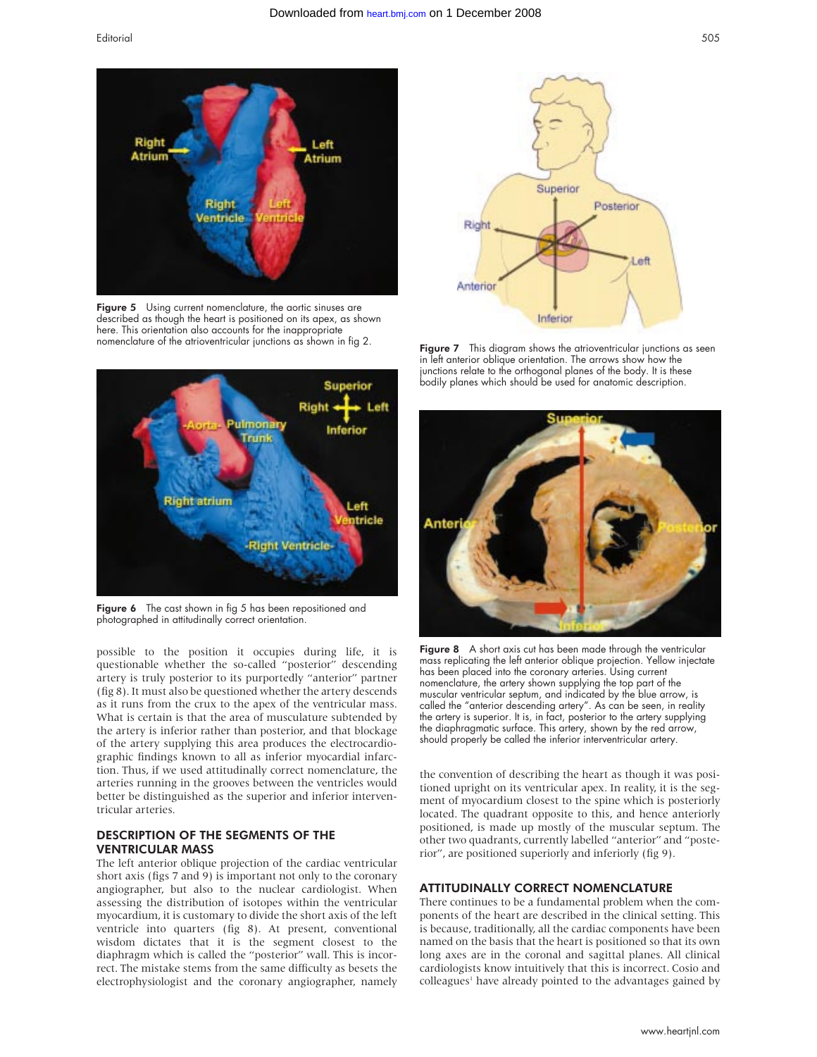

Figure 5 Using current nomenclature, the aortic sinuses are described as though the heart is positioned on its apex, as shown here. This orientation also accounts for the inappropriate nomenclature of the atrioventricular junctions as shown in fig 2.



Figure 6 The cast shown in fig 5 has been repositioned and photographed in attitudinally correct orientation.

possible to the position it occupies during life, it is questionable whether the so-called "posterior" descending artery is truly posterior to its purportedly "anterior" partner (fig 8). It must also be questioned whether the artery descends as it runs from the crux to the apex of the ventricular mass. What is certain is that the area of musculature subtended by the artery is inferior rather than posterior, and that blockage of the artery supplying this area produces the electrocardiographic findings known to all as inferior myocardial infarction. Thus, if we used attitudinally correct nomenclature, the arteries running in the grooves between the ventricles would better be distinguished as the superior and inferior interventricular arteries.

## DESCRIPTION OF THE SEGMENTS OF THE VENTRICULAR MASS

The left anterior oblique projection of the cardiac ventricular short axis (figs 7 and 9) is important not only to the coronary angiographer, but also to the nuclear cardiologist. When assessing the distribution of isotopes within the ventricular myocardium, it is customary to divide the short axis of the left ventricle into quarters (fig 8). At present, conventional wisdom dictates that it is the segment closest to the diaphragm which is called the "posterior" wall. This is incorrect. The mistake stems from the same difficulty as besets the electrophysiologist and the coronary angiographer, namely



Figure 7 This diagram shows the atrioventricular junctions as seen in left anterior oblique orientation. The arrows show how the junctions relate to the orthogonal planes of the body. It is these bodily planes which should be used for anatomic description.



Fiaure 8 A short axis cut has been made through the ventricular mass replicating the left anterior oblique projection. Yellow injectate has been placed into the coronary arteries. Using current nomenclature, the artery shown supplying the top part of the muscular ventricular septum, and indicated by the blue arrow, is called the "anterior descending artery". As can be seen, in reality the artery is superior. It is, in fact, posterior to the artery supplying the diaphragmatic surface. This artery, shown by the red arrow, should properly be called the inferior interventricular artery.

the convention of describing the heart as though it was positioned upright on its ventricular apex. In reality, it is the segment of myocardium closest to the spine which is posteriorly located. The quadrant opposite to this, and hence anteriorly positioned, is made up mostly of the muscular septum. The other two quadrants, currently labelled "anterior" and "posterior", are positioned superiorly and inferiorly (fig 9).

## ATTITUDINALLY CORRECT NOMENCLATURE

There continues to be a fundamental problem when the components of the heart are described in the clinical setting. This is because, traditionally, all the cardiac components have been named on the basis that the heart is positioned so that its own long axes are in the coronal and sagittal planes. All clinical cardiologists know intuitively that this is incorrect. Cosio and colleagues<sup>1</sup> have already pointed to the advantages gained by